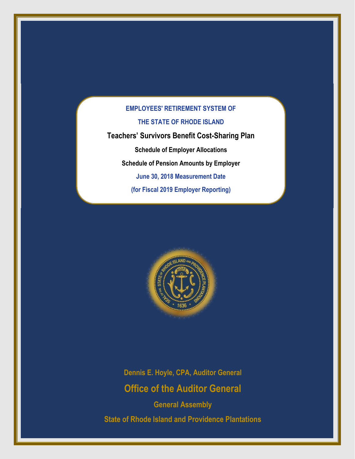## **Teachers' Survivors Benefit Cost-Sharing Plan**

**Schedule of Employer Allocations Schedule of Pension Amounts by Employer June 30, 2018 Measurement Date (for Fiscal 2019 Employer Reporting)**



**Dennis E. Hoyle, CPA, Auditor General Office of the Auditor General**

**General Assembly State of Rhode Island and Providence Plantations**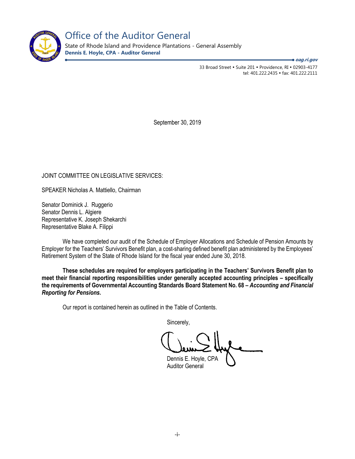

Office of the Auditor General

State of Rhode Island and Providence Plantations - General Assembly **Dennis E. Hoyle, CPA - Auditor General**

**oag.ri.gov**

33 Broad Street • Suite 201 • Providence, RI • 02903-4177 tel: 401.222.2435 • fax: 401.222.2111

September 30, 2019

#### JOINT COMMITTEE ON LEGISLATIVE SERVICES:

SPEAKER Nicholas A. Mattiello, Chairman

Senator Dominick J. Ruggerio Senator Dennis L. Algiere Representative K. Joseph Shekarchi Representative Blake A. Filippi

We have completed our audit of the Schedule of Employer Allocations and Schedule of Pension Amounts by Employer for the Teachers' Survivors Benefit plan, a cost-sharing defined benefit plan administered by the Employees' Retirement System of the State of Rhode Island for the fiscal year ended June 30, 2018.

**These schedules are required for employers participating in the Teachers' Survivors Benefit plan to meet their financial reporting responsibilities under generally accepted accounting principles – specifically the requirements of Governmental Accounting Standards Board Statement No. 68 –** *Accounting and Financial Reporting for Pensions.* 

Our report is contained herein as outlined in the Table of Contents.

Sincerely,

Dennis E. Hoyle, CPA

Auditor General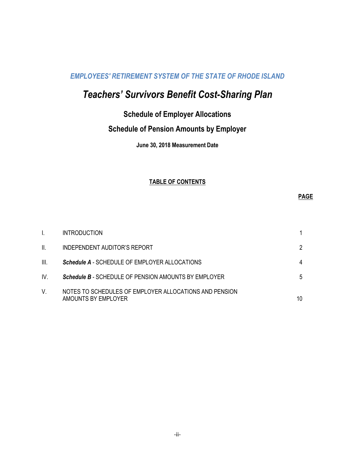# *Teachers' Survivors Benefit Cost-Sharing Plan*

## **Schedule of Employer Allocations**

## **Schedule of Pension Amounts by Employer**

**June 30, 2018 Measurement Date** 

### **TABLE OF CONTENTS**

#### **PAGE**

|      | <b>INTRODUCTION</b>                                                           |    |
|------|-------------------------------------------------------------------------------|----|
| IL.  | INDEPENDENT AUDITOR'S REPORT                                                  | 2  |
| III. | <b>Schedule A - SCHEDULE OF EMPLOYER ALLOCATIONS</b>                          |    |
| IV.  | <b>Schedule B</b> - SCHEDULE OF PENSION AMOUNTS BY EMPLOYER                   | 5  |
| V.   | NOTES TO SCHEDULES OF EMPLOYER ALLOCATIONS AND PENSION<br>AMOUNTS BY EMPLOYER | 10 |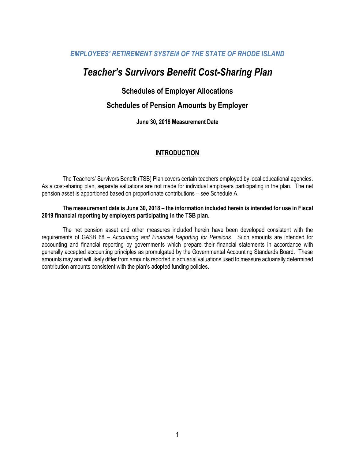## *Teacher's Survivors Benefit Cost-Sharing Plan*

## **Schedules of Employer Allocations**

### **Schedules of Pension Amounts by Employer**

**June 30, 2018 Measurement Date** 

#### **INTRODUCTION**

The Teachers' Survivors Benefit (TSB) Plan covers certain teachers employed by local educational agencies. As a cost-sharing plan, separate valuations are not made for individual employers participating in the plan. The net pension asset is apportioned based on proportionate contributions – see Schedule A.

#### **The measurement date is June 30, 2018 – the information included herein is intended for use in Fiscal 2019 financial reporting by employers participating in the TSB plan.**

The net pension asset and other measures included herein have been developed consistent with the requirements of GASB 68 – *Accounting and Financial Reporting for Pensions*. Such amounts are intended for accounting and financial reporting by governments which prepare their financial statements in accordance with generally accepted accounting principles as promulgated by the Governmental Accounting Standards Board. These amounts may and will likely differ from amounts reported in actuarial valuations used to measure actuarially determined contribution amounts consistent with the plan's adopted funding policies.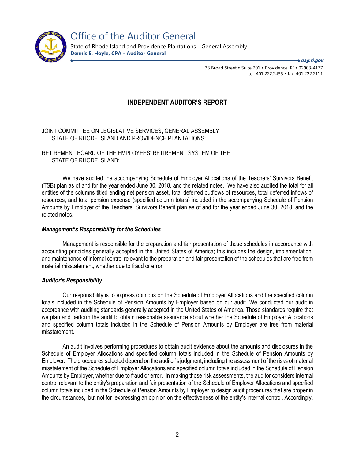

Office of the Auditor General

State of Rhode Island and Providence Plantations - General Assembly **Dennis E. Hoyle, CPA - Auditor General**

> 33 Broad Street • Suite 201 • Providence, RI • 02903-4177 tel: 401.222.2435 · fax: 401.222.2111 **oag.ri.gov**

#### **INDEPENDENT AUDITOR'S REPORT**

JOINT COMMITTEE ON LEGISLATIVE SERVICES, GENERAL ASSEMBLY STATE OF RHODE ISLAND AND PROVIDENCE PLANTATIONS:

RETIREMENT BOARD OF THE EMPLOYEES' RETIREMENT SYSTEM OF THE STATE OF RHODE ISLAND:

We have audited the accompanying Schedule of Employer Allocations of the Teachers' Survivors Benefit (TSB) plan as of and for the year ended June 30, 2018, and the related notes. We have also audited the total for all entities of the columns titled ending net pension asset, total deferred outflows of resources, total deferred inflows of resources, and total pension expense (specified column totals) included in the accompanying Schedule of Pension Amounts by Employer of the Teachers' Survivors Benefit plan as of and for the year ended June 30, 2018, and the related notes.

#### *Management's Responsibility for the Schedules*

Management is responsible for the preparation and fair presentation of these schedules in accordance with accounting principles generally accepted in the United States of America; this includes the design, implementation, and maintenance of internal control relevant to the preparation and fair presentation of the schedules that are free from material misstatement, whether due to fraud or error.

#### *Auditor's Responsibility*

Our responsibility is to express opinions on the Schedule of Employer Allocations and the specified column totals included in the Schedule of Pension Amounts by Employer based on our audit. We conducted our audit in accordance with auditing standards generally accepted in the United States of America. Those standards require that we plan and perform the audit to obtain reasonable assurance about whether the Schedule of Employer Allocations and specified column totals included in the Schedule of Pension Amounts by Employer are free from material misstatement.

An audit involves performing procedures to obtain audit evidence about the amounts and disclosures in the Schedule of Employer Allocations and specified column totals included in the Schedule of Pension Amounts by Employer. The procedures selected depend on the auditor's judgment, including the assessment of the risks of material misstatement of the Schedule of Employer Allocations and specified column totals included in the Schedule of Pension Amounts by Employer, whether due to fraud or error. In making those risk assessments, the auditor considers internal control relevant to the entity's preparation and fair presentation of the Schedule of Employer Allocations and specified column totals included in the Schedule of Pension Amounts by Employer to design audit procedures that are proper in the circumstances, but not for expressing an opinion on the effectiveness of the entity's internal control. Accordingly,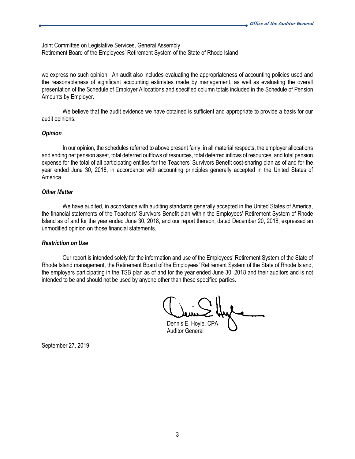Joint Committee on Legislative Services, General Assembly Retirement Board of the Employees' Retirement System of the State of Rhode Island

we express no such opinion. An audit also includes evaluating the appropriateness of accounting policies used and the reasonableness of significant accounting estimates made by management, as well as evaluating the overall presentation of the Schedule of Employer Allocations and specified column totals included in the Schedule of Pension Amounts by Employer.

We believe that the audit evidence we have obtained is sufficient and appropriate to provide a basis for our audit opinions.

#### *Opinion*

In our opinion, the schedules referred to above present fairly, in all material respects, the employer allocations and ending net pension asset, total deferred outflows of resources, total deferred inflows of resources, and total pension expense for the total of all participating entities for the Teachers' Survivors Benefit cost-sharing plan as of and for the year ended June 30, 2018, in accordance with accounting principles generally accepted in the United States of America.

#### *Other Matter*

We have audited, in accordance with auditing standards generally accepted in the United States of America, the financial statements of the Teachers' Survivors Benefit plan within the Employees' Retirement System of Rhode Island as of and for the year ended June 30, 2018, and our report thereon, dated December 20, 2018, expressed an unmodified opinion on those financial statements.

#### *Restriction on Use*

Our report is intended solely for the information and use of the Employees' Retirement System of the State of Rhode Island management, the Retirement Board of the Employees' Retirement System of the State of Rhode Island, the employers participating in the TSB plan as of and for the year ended June 30, 2018 and their auditors and is not intended to be and should not be used by anyone other than these specified parties.

Dennis E. Hoyle, CPA

Auditor General

September 27, 2019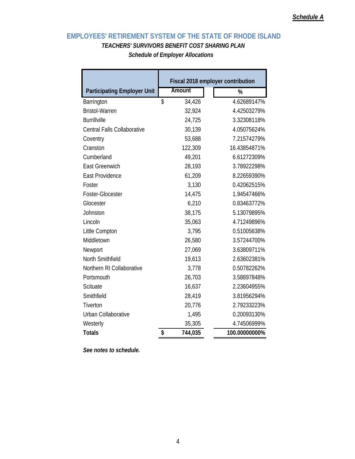### **EMPLOYEES' RETIREMENT SYSTEM OF THE STATE OF RHODE ISLAND** *TEACHERS' SURVIVORS BENEFIT COST SHARING PLAN*

*Schedule of Employer Allocations* 

|                                    | Fiscal 2018 employer contribution |         |               |  |  |  |
|------------------------------------|-----------------------------------|---------|---------------|--|--|--|
| <b>Participating Employer Unit</b> |                                   | Amount  | %             |  |  |  |
| Barrington                         | \$                                | 34,426  | 4.62689147%   |  |  |  |
| <b>Bristol-Warren</b>              |                                   | 32,924  | 4.42503279%   |  |  |  |
| <b>Burrillville</b>                |                                   | 24,725  | 3.32308118%   |  |  |  |
| <b>Central Falls Collaborative</b> |                                   | 30,139  | 4.05075624%   |  |  |  |
| Coventry                           |                                   | 53,688  | 7.21574279%   |  |  |  |
| Cranston                           |                                   | 122,309 | 16.43854871%  |  |  |  |
| Cumberland                         |                                   | 49,201  | 6.61272309%   |  |  |  |
| <b>East Greenwich</b>              |                                   | 28,193  | 3.78922298%   |  |  |  |
| <b>East Providence</b>             |                                   | 61,209  | 8.22659390%   |  |  |  |
| Foster                             |                                   | 3,130   | 0.42062515%   |  |  |  |
| Foster-Glocester                   |                                   | 14,475  | 1.94547466%   |  |  |  |
| Glocester                          |                                   | 6,210   | 0.83463772%   |  |  |  |
| Johnston                           |                                   | 38,175  | 5.13079895%   |  |  |  |
| Lincoln                            |                                   | 35,063  | 4.71249896%   |  |  |  |
| Little Compton                     |                                   | 3,795   | 0.51005638%   |  |  |  |
| Middletown                         |                                   | 26,580  | 3.57244700%   |  |  |  |
| Newport                            |                                   | 27,069  | 3.63809711%   |  |  |  |
| North Smithfield                   |                                   | 19,613  | 2.63602381%   |  |  |  |
| Northern RI Collaborative          |                                   | 3,778   | 0.50782262%   |  |  |  |
| Portsmouth                         |                                   | 26,703  | 3.58897848%   |  |  |  |
| Scituate                           |                                   | 16,637  | 2.23604955%   |  |  |  |
| Smithfield                         |                                   | 28,419  | 3.81956294%   |  |  |  |
| Tiverton                           |                                   | 20,776  | 2.79233223%   |  |  |  |
| <b>Urban Collaborative</b>         |                                   | 1,495   | 0.20093130%   |  |  |  |
| Westerly                           |                                   | 35,305  | 4.74506999%   |  |  |  |
| <b>Totals</b>                      | \$                                | 744,035 | 100.00000000% |  |  |  |

*See notes to schedule.*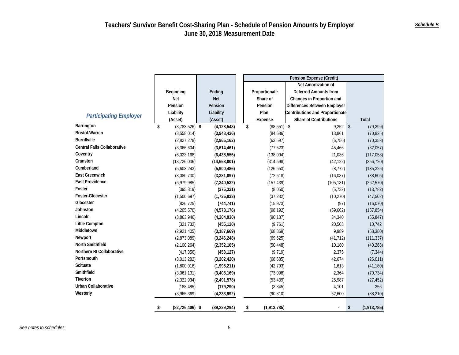## **Teachers' Survivor Benefit Cost-Sharing Plan - Schedule of Pension Amounts by Employer June 30, 2018 Measurement Date**

|                                    |                           |                | Pension Expense (Credit) |                                        |                           |  |  |
|------------------------------------|---------------------------|----------------|--------------------------|----------------------------------------|---------------------------|--|--|
|                                    |                           |                |                          | Net Amortization of                    |                           |  |  |
|                                    | Beginning                 | Ending         | Proportionate            | <b>Deferred Amounts from</b>           |                           |  |  |
|                                    | <b>Net</b>                | <b>Net</b>     | Share of                 | Changes in Proportion and              |                           |  |  |
|                                    | Pension                   | Pension        | Pension                  | Differences Between Employer           |                           |  |  |
| <b>Participating Employer</b>      | Liability                 | Liability      | Plan                     | <b>Contributions and Proportionate</b> |                           |  |  |
|                                    | (Asset)                   | (Asset)        | Expense                  | <b>Share of Contributions</b>          | Total                     |  |  |
| Barrington                         | $(3,783,526)$ \$<br>\$    | (4, 128, 543)  | $(88, 551)$ \$<br>\$     | 9,252                                  | (79, 299)<br>$\sqrt[6]{}$ |  |  |
| <b>Bristol-Warren</b>              | (3,558,014)               | (3,948,426)    | (84,686)                 | 13,861                                 | (70, 825)                 |  |  |
| <b>Burrillville</b>                | (2,827,278)               | (2,965,162)    | (63, 597)                | (6, 756)                               | (70, 353)                 |  |  |
| <b>Central Falls Collaborative</b> | (3,366,604)               | (3,614,461)    | (77, 523)                | 45,466                                 | (32,057)                  |  |  |
| Coventry                           | (6,023,168)               | (6, 438, 556)  | (138,094)                | 21,036                                 | (117,058)                 |  |  |
| Cranston                           | (13, 726, 036)            | (14,668,001)   | (314, 598)               | (42, 122)                              | (356, 720)                |  |  |
| Cumberland                         | (5,603,243)               | (5,900,486)    | (126, 553)               | (8, 772)                               | (135, 325)                |  |  |
| <b>East Greenwich</b>              | (3,080,730)               | (3,381,097)    | (72, 518)                | (16,087)                               | (88, 605)                 |  |  |
| <b>East Providence</b>             | (6,979,985)               | (7, 340, 532)  | (157, 439)               | (105, 131)                             | (262, 570)                |  |  |
| Foster                             | (395, 819)                | (375, 321)     | (8,050)                  | (5, 732)                               | (13, 782)                 |  |  |
| <b>Foster-Glocester</b>            | (1,500,697)               | (1,735,933)    | (37, 232)                | (10, 270)                              | (47, 502)                 |  |  |
| Glocester                          | (826, 725)                | (744, 741)     | (15, 973)                | (97)                                   | (16,070)                  |  |  |
| Johnston                           | (4,205,570)               | (4,578,176)    | (98, 192)                | (59,662)                               | (157, 854)                |  |  |
| Lincoln                            | (3,863,946)               | (4,204,930)    | (90, 187)                | 34,340                                 | (55, 847)                 |  |  |
| Little Compton                     | (321, 732)                | (455, 120)     | (9,761)                  | 20,503                                 | 10,742                    |  |  |
| Middletown                         | (2,921,405)               | (3, 187, 669)  | (68, 369)                | 9,989                                  | (58, 380)                 |  |  |
| Newport                            | (2,873,089)               | (3,246,248)    | (69, 625)                | (41, 712)                              | (111, 337)                |  |  |
| <b>North Smithfield</b>            | (2,100,264)               | (2, 352, 105)  | (50, 448)                | 10,180                                 | (40, 268)                 |  |  |
| Northern RI Collaborative          | (417, 356)                | (453, 127)     | (9, 719)                 | 2,375                                  | (7, 344)                  |  |  |
| Portsmouth                         | (3,013,282)               | (3,202,420)    | (68, 685)                | 42,674                                 | (26, 011)                 |  |  |
| Scituate                           | (1,800,018)               | (1,995,211)    | (42, 793)                | 1,613                                  | (41, 180)                 |  |  |
| Smithfield                         | (3,061,131)               | (3,408,169)    | (73,098)                 | 2,364                                  | (70, 734)                 |  |  |
| Tiverton                           | (2,322,934)               | (2,491,578)    | (53, 439)                | 25,987                                 | (27, 452)                 |  |  |
| <b>Urban Collaborative</b>         | (188, 485)                | (179, 290)     | (3,845)                  | 4,101                                  | 256                       |  |  |
| Westerly                           | (3,965,369)               | (4, 233, 992)  | (90, 810)                | 52,600                                 | (38, 210)                 |  |  |
|                                    | \$<br>$(82, 726, 406)$ \$ | (89, 229, 294) | (1,913,785)<br>\$        | $\blacksquare$                         | (1,913,785)<br>\$         |  |  |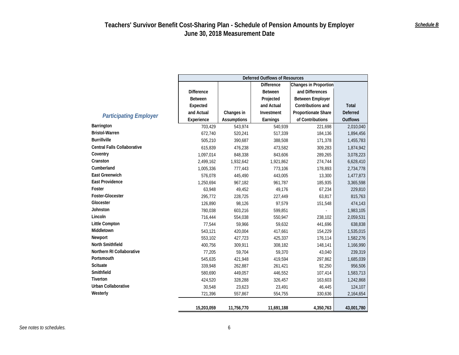## **Teachers' Survivor Benefit Cost-Sharing Plan - Schedule of Pension Amounts by Employer June 30, 2018 Measurement Date**

|                                    | <b>Deferred Outflows of Resources</b> |                              |                |                            |                 |  |  |  |
|------------------------------------|---------------------------------------|------------------------------|----------------|----------------------------|-----------------|--|--|--|
|                                    |                                       | <b>Changes in Proportion</b> |                |                            |                 |  |  |  |
|                                    | <b>Difference</b>                     |                              | <b>Between</b> | and Differences            |                 |  |  |  |
|                                    | <b>Between</b>                        |                              | Projected      | <b>Between Employer</b>    |                 |  |  |  |
|                                    | Expected                              |                              | and Actual     | Contributions and          | Total           |  |  |  |
| <b>Participating Employer</b>      | and Actual                            | Changes in                   | Investment     | <b>Proportionate Share</b> | <b>Deferred</b> |  |  |  |
|                                    | Experience                            | <b>Assumptions</b>           | Earnings       | of Contributions           | <b>Outflows</b> |  |  |  |
| Barrington                         | 703,429                               | 543,974                      | 540,939        | 221,698                    | 2,010,040       |  |  |  |
| <b>Bristol-Warren</b>              | 672,740                               | 520,241                      | 517,339        | 184,136                    | 1,894,456       |  |  |  |
| <b>Burrillville</b>                | 505,210                               | 390,687                      | 388,508        | 171,378                    | 1,455,783       |  |  |  |
| <b>Central Falls Collaborative</b> | 615,839                               | 476,238                      | 473,582        | 309,283                    | 1,874,942       |  |  |  |
| Coventry                           | 1,097,014                             | 848,338                      | 843,606        | 289,265                    | 3,078,223       |  |  |  |
| Cranston                           | 2,499,162                             | 1,932,642                    | 1,921,862      | 274,744                    | 6,628,410       |  |  |  |
| Cumberland                         | 1,005,336                             | 777,443                      | 773,106        | 178,893                    | 2,734,778       |  |  |  |
| <b>East Greenwich</b>              | 576,078                               | 445,490                      | 443,005        | 13,300                     | 1,477,873       |  |  |  |
| <b>East Providence</b>             | 1,250,694                             | 967,182                      | 961,787        | 185,935                    | 3,365,598       |  |  |  |
| Foster                             | 63,948                                | 49,452                       | 49,176         | 67,234                     | 229,810         |  |  |  |
| Foster-Glocester                   | 295,772                               | 228,725                      | 227,449        | 63,817                     | 815,763         |  |  |  |
| Glocester                          | 126,890                               | 98,126                       | 97,579         | 151,548                    | 474,143         |  |  |  |
| Johnston                           | 780,038                               | 603,216                      | 599,851        |                            | 1,983,105       |  |  |  |
| Lincoln                            | 716,444                               | 554,038                      | 550,947        | 238,102                    | 2,059,531       |  |  |  |
| <b>Little Compton</b>              | 77,544                                | 59,966                       | 59,632         | 441,696                    | 638,838         |  |  |  |
| Middletown                         | 543,121                               | 420,004                      | 417,661        | 154,229                    | 1,535,015       |  |  |  |
| Newport                            | 553,102                               | 427,723                      | 425,337        | 176,114                    | 1,582,276       |  |  |  |
| <b>North Smithfield</b>            | 400,756                               | 309,911                      | 308,182        | 148,141                    | 1,166,990       |  |  |  |
| Northern RI Collaborative          | 77,205                                | 59,704                       | 59,370         | 43,040                     | 239,319         |  |  |  |
| Portsmouth                         | 545,635                               | 421,948                      | 419,594        | 297,862                    | 1,685,039       |  |  |  |
| <b>Scituate</b>                    | 339,948                               | 262,887                      | 261,421        | 92,250                     | 956,506         |  |  |  |
| Smithfield                         | 580,690                               | 449,057                      | 446,552        | 107,414                    | 1,583,713       |  |  |  |
| Tiverton                           | 424,520                               | 328,288                      | 326,457        | 163,603                    | 1,242,868       |  |  |  |
| <b>Urban Collaborative</b>         | 30,548                                | 23,623                       | 23,491         | 46,445                     | 124,107         |  |  |  |
| Westerly                           | 721,396                               | 557,867                      | 554,755        | 330,636                    | 2,164,654       |  |  |  |
|                                    | 15,203,059                            | 11,756,770                   | 11,691,188     | 4,350,763                  | 43,001,780      |  |  |  |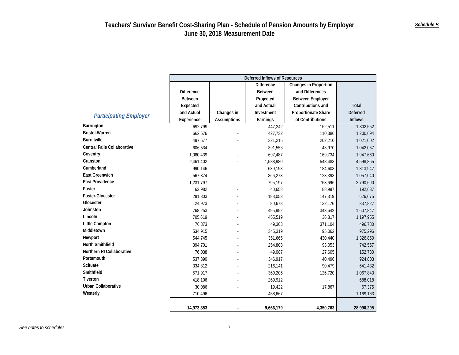## **Teachers' Survivor Benefit Cost-Sharing Plan - Schedule of Pension Amounts by Employer June 30, 2018 Measurement Date**

|                                    | <b>Deferred Inflows of Resources</b> |                    |                   |                              |                 |  |  |  |
|------------------------------------|--------------------------------------|--------------------|-------------------|------------------------------|-----------------|--|--|--|
|                                    |                                      |                    | <b>Difference</b> | <b>Changes in Proportion</b> |                 |  |  |  |
|                                    | <b>Difference</b>                    |                    | Between           | and Differences              |                 |  |  |  |
|                                    | <b>Between</b>                       |                    | Projected         | <b>Between Employer</b>      |                 |  |  |  |
|                                    | Expected                             |                    | and Actual        | Contributions and            | Total           |  |  |  |
|                                    | and Actual                           | Changes in         | Investment        | Proportionate Share          | <b>Deferred</b> |  |  |  |
| <b>Participating Employer</b>      | Experience                           | <b>Assumptions</b> | Earnings          | of Contributions             | <b>Inflows</b>  |  |  |  |
| Barrington                         | 692,799                              |                    | 447,242           | 162,511                      | 1,302,552       |  |  |  |
| <b>Bristol-Warren</b>              | 662,576                              |                    | 427,732           | 110,386                      | 1,200,694       |  |  |  |
| <b>Burrillville</b>                | 497.577                              |                    | 321,215           | 202,210                      | 1,021,002       |  |  |  |
| <b>Central Falls Collaborative</b> | 606,534                              |                    | 391,553           | 43,970                       | 1,042,057       |  |  |  |
| Coventry                           | 1,080,439                            |                    | 697,487           | 169,734                      | 1,947,660       |  |  |  |
| Cranston                           | 2,461,402                            |                    | 1,588,980         | 548,483                      | 4,598,865       |  |  |  |
| Cumberland                         | 990,146                              |                    | 639,198           | 184,603                      | 1,813,947       |  |  |  |
| <b>East Greenwich</b>              | 567,374                              |                    | 366,273           | 123,393                      | 1,057,040       |  |  |  |
| <b>East Providence</b>             | 1,231,797                            |                    | 795,197           | 763,696                      | 2,790,690       |  |  |  |
| Foster                             | 62,982                               |                    | 40,658            | 88,997                       | 192,637         |  |  |  |
| <b>Foster-Glocester</b>            | 291,303                              |                    | 188,053           | 147,319                      | 626,675         |  |  |  |
| Glocester                          | 124,973                              |                    | 80,678            | 132,176                      | 337,827         |  |  |  |
| Johnston                           | 768,253                              |                    | 495,952           | 343,642                      | 1,607,847       |  |  |  |
| Lincoln                            | 705,619                              |                    | 455,519           | 36,817                       | 1,197,955       |  |  |  |
| <b>Little Compton</b>              | 76,373                               |                    | 49,303            | 371,104                      | 496,780         |  |  |  |
| Middletown                         | 534,915                              |                    | 345,319           | 95,062                       | 975,296         |  |  |  |
| Newport                            | 544,745                              |                    | 351,665           | 430,440                      | 1,326,850       |  |  |  |
| North Smithfield                   | 394,701                              |                    | 254,803           | 93,053                       | 742,557         |  |  |  |
| Northern RI Collaborative          | 76,038                               |                    | 49,087            | 27,605                       | 152,730         |  |  |  |
| Portsmouth                         | 537,390                              |                    | 346,917           | 40,496                       | 924,803         |  |  |  |
| <b>Scituate</b>                    | 334,812                              |                    | 216,141           | 90,479                       | 641,432         |  |  |  |
| Smithfield                         | 571,917                              |                    | 369,206           | 126,720                      | 1,067,843       |  |  |  |
| Tiverton                           | 418,106                              |                    | 269,912           |                              | 688,018         |  |  |  |
| <b>Urban Collaborative</b>         | 30,086                               |                    | 19,422            | 17,867                       | 67,375          |  |  |  |
| Westerly                           | 710,496                              | $\sim$             | 458,667           | $\overline{a}$               | 1,169,163       |  |  |  |
|                                    | 14,973,353                           |                    | 9,666,179         | 4,350,763                    | 28,990,295      |  |  |  |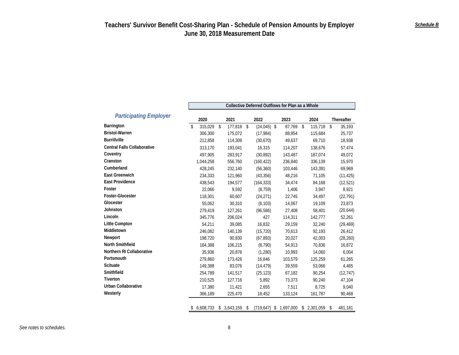|                                    | Collective Deferred Outflows for Plan as a Whole |            |  |         |    |                |  |         |                    |         |            |           |
|------------------------------------|--------------------------------------------------|------------|--|---------|----|----------------|--|---------|--------------------|---------|------------|-----------|
| <b>Participating Employer</b>      |                                                  | 2020       |  | 2021    |    | 2022           |  | 2023    |                    | 2024    | Thereafter |           |
| <b>Barrington</b>                  | \$                                               | 315.029 \$ |  | 177.818 | \$ | $(24, 045)$ \$ |  | 87.769  | $\mathbf{\hat{S}}$ | 115,718 | \$         | 35.193    |
| <b>Bristol-Warren</b>              |                                                  | 306,300    |  | 175,072 |    | (17,984)       |  | 88,954  |                    | 115,684 |            | 25,737    |
| <b>Burrillville</b>                |                                                  | 212,858    |  | 114,309 |    | (30,670)       |  | 49.637  |                    | 69,710  |            | 18,938    |
| <b>Central Falls Collaborative</b> |                                                  | 313,170    |  | 193,041 |    | 16,315         |  | 114,207 |                    | 138,676 |            | 57,474    |
| Coventry                           |                                                  | 497.905    |  | 283,917 |    | (30, 892)      |  | 143,487 |                    | 187,074 |            | 49,072    |
| Cranston                           |                                                  | 1,044,258  |  | 556,760 |    | (160, 422)     |  | 236,840 |                    | 336.139 |            | 15,970    |
| Cumberland                         |                                                  | 428.245    |  | 232,140 |    | (56, 360)      |  | 103,446 |                    | 143.391 |            | 69.969    |
| <b>East Greenwich</b>              |                                                  | 234,333    |  | 121,960 |    | (43,356)       |  | 48,216  |                    | 71,105  |            | (11, 425) |
| <b>East Providence</b>             |                                                  | 438,543    |  | 194,577 |    | (164, 333)     |  | 34,474  |                    | 84,168  |            | (12,521)  |
| Foster                             |                                                  | 22,066     |  | 9,592   |    | (8, 759)       |  | 1,406   |                    | 3,947   |            | 8,921     |
| <b>Foster-Glocester</b>            |                                                  | 118,301    |  | 60,607  |    | (24, 271)      |  | 22,745  |                    | 34,497  |            | (22, 791) |
| Glocester                          |                                                  | 55.062     |  | 30.310  |    | (6, 103)       |  | 14,067  |                    | 19,109  |            | 23,873    |
| Johnston                           |                                                  | 279.419    |  | 127.261 |    | (96, 586)      |  | 27.408  |                    | 58.401  |            | (20.644)  |
| Lincoln                            |                                                  | 345.776    |  | 206.024 |    | 427            |  | 114,311 |                    | 142.777 |            | 52,261    |
| <b>Little Compton</b>              |                                                  | 54,211     |  | 39,085  |    | 16,832         |  | 29,159  |                    | 32,240  |            | (29, 469) |
| Middletown                         |                                                  | 246,082    |  | 140,139 |    | (15, 720)      |  | 70,613  |                    | 92,193  |            | 26,412    |
| <b>Newport</b>                     |                                                  | 198,720    |  | 90.830  |    | (67, 893)      |  | 20,027  |                    | 42,003  |            | (28, 260) |
| <b>North Smithfield</b>            |                                                  | 184,388    |  | 106,215 |    | (8,790)        |  | 54,913  |                    | 70,836  |            | 16,872    |
| Northern RI Collaborative          |                                                  | 35,936     |  | 20.876  |    | (1,280)        |  | 10,993  |                    | 14,060  |            | 6,004     |
| Portsmouth                         |                                                  | 279.860    |  | 173,426 |    | 16.846         |  | 103.579 |                    | 125,259 |            | 61,265    |
| <b>Scituate</b>                    |                                                  | 149,388    |  | 83.076  |    | (14, 479)      |  | 39,559  |                    | 53,066  |            | 4,465     |
| Smithfield                         |                                                  | 254,789    |  | 141,517 |    | (25, 123)      |  | 67,182  |                    | 90,254  |            | (12, 747) |
| Tiverton                           |                                                  | 210,525    |  | 127,716 |    | 5,892          |  | 73,373  |                    | 90,240  |            | 47,104    |
| <b>Urban Collaborative</b>         |                                                  | 17,380     |  | 11,421  |    | 2,655          |  | 7,511   |                    | 8,725   |            | 9,040     |
| Westerly                           |                                                  | 366,189    |  | 225,470 |    | 18,452         |  | 133,124 |                    | 161,787 |            | 90,468    |
|                                    |                                                  |            |  |         |    |                |  |         |                    |         |            |           |

\$ 6,608,733 \$ 3,643,159 \$ (719,647) \$ 1,697,000 \$ 2,301,059 \$ 481,181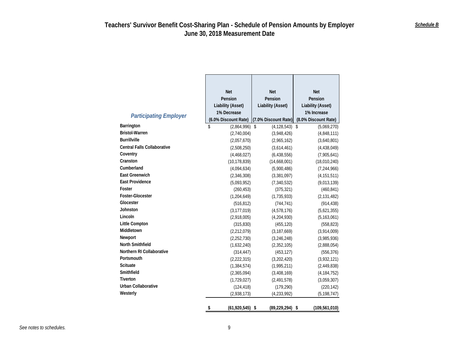|                                    | <b>Net</b><br>Pension<br>Liability (Asset)<br>1% Decrease | <b>Net</b><br>Pension<br>Liability (Asset) | <b>Net</b><br>Pension<br><b>Liability (Asset)</b><br>1% Increase |
|------------------------------------|-----------------------------------------------------------|--------------------------------------------|------------------------------------------------------------------|
| <b>Participating Employer</b>      | (6.0% Discount Rate)                                      | (7.0% Discount Rate)                       | (8.0% Discount Rate)                                             |
| <b>Barrington</b>                  | $\mathsf{\$}$<br>(2,864,996)                              | \$<br>(4, 128, 543)                        | \$<br>(5,069,270)                                                |
| <b>Bristol-Warren</b>              | (2,740,004)                                               | (3,948,426)                                | (4,848,111)                                                      |
| <b>Burrillville</b>                | (2,057,670)                                               | (2,965,162)                                | (3,640,801)                                                      |
| <b>Central Falls Collaborative</b> | (2,508,250)                                               | (3,614,461)                                | (4,438,049)                                                      |
| Coventry                           | (4,468,027)                                               | (6,438,556)                                | (7,905,641)                                                      |
| Cranston                           | (10, 178, 839)                                            | (14,668,001)                               | (18,010,240)                                                     |
| Cumberland                         | (4,094,634)                                               | (5,900,486)                                | (7, 244, 966)                                                    |
| <b>East Greenwich</b>              | (2,346,308)                                               | (3,381,097)                                | (4, 151, 511)                                                    |
| <b>East Providence</b>             | (5,093,952)                                               | (7, 340, 532)                              | (9,013,139)                                                      |
| Foster                             | (260, 453)                                                | (375, 321)                                 | (460, 841)                                                       |
| <b>Foster-Glocester</b>            | (1, 204, 649)                                             | (1,735,933)                                | (2, 131, 482)                                                    |
| Glocester                          | (516, 812)                                                | (744, 741)                                 | (914, 438)                                                       |
| Johnston                           | (3, 177, 019)                                             | (4,578,176)                                | (5,621,355)                                                      |
| Lincoln                            | (2,918,005)                                               | (4,204,930)                                | (5, 163, 061)                                                    |
| <b>Little Compton</b>              | (315, 830)                                                | (455, 120)                                 | (558, 823)                                                       |
| Middletown                         | (2,212,079)                                               | (3, 187, 669)                              | (3,914,009)                                                      |
| Newport                            | (2, 252, 730)                                             | (3,246,248)                                | (3,985,936)                                                      |
| <b>North Smithfield</b>            | (1,632,240)                                               | (2,352,105)                                | (2,888,054)                                                      |
| Northern RI Collaborative          | (314, 447)                                                | (453, 127)                                 | (556, 376)                                                       |
| Portsmouth                         | (2, 222, 315)                                             | (3,202,420)                                | (3,932,121)                                                      |
| <b>Scituate</b>                    | (1, 384, 574)                                             | (1,995,211)                                | (2,449,838)                                                      |
| Smithfield                         | (2,365,094)                                               | (3,408,169)                                | (4, 184, 752)                                                    |
| <b>Tiverton</b>                    | (1,729,027)                                               | (2,491,578)                                | (3,059,307)                                                      |
| <b>Urban Collaborative</b>         | (124, 418)                                                | (179, 290)                                 | (220, 142)                                                       |
| Westerly                           | (2,938,173)                                               | (4, 233, 992)                              | (5, 198, 747)                                                    |
|                                    | \$<br>$(61,920,545)$ \$                                   | $(89, 229, 294)$ \$                        | (109, 561, 010)                                                  |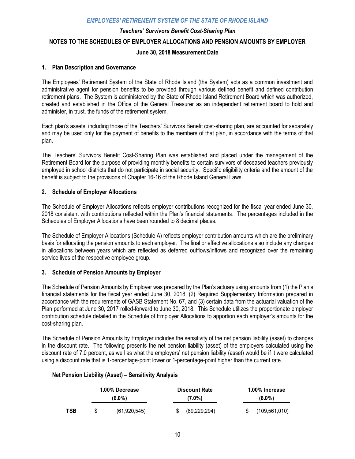#### *Teachers' Survivors Benefit Cost-Sharing Plan*

#### **NOTES TO THE SCHEDULES OF EMPLOYER ALLOCATIONS AND PENSION AMOUNTS BY EMPLOYER**

#### **June 30, 2018 Measurement Date**

#### **1. Plan Description and Governance**

The Employees' Retirement System of the State of Rhode Island (the System) acts as a common investment and administrative agent for pension benefits to be provided through various defined benefit and defined contribution retirement plans. The System is administered by the State of Rhode Island Retirement Board which was authorized, created and established in the Office of the General Treasurer as an independent retirement board to hold and administer, in trust, the funds of the retirement system.

Each plan's assets, including those of the Teachers' Survivors Benefit cost-sharing plan, are accounted for separately and may be used only for the payment of benefits to the members of that plan, in accordance with the terms of that plan.

The Teachers' Survivors Benefit Cost-Sharing Plan was established and placed under the management of the Retirement Board for the purpose of providing monthly benefits to certain survivors of deceased teachers previously employed in school districts that do not participate in social security. Specific eligibility criteria and the amount of the benefit is subject to the provisions of Chapter 16-16 of the Rhode Island General Laws.

#### **2. Schedule of Employer Allocations**

The Schedule of Employer Allocations reflects employer contributions recognized for the fiscal year ended June 30, 2018 consistent with contributions reflected within the Plan's financial statements. The percentages included in the Schedules of Employer Allocations have been rounded to 8 decimal places.

The Schedule of Employer Allocations (Schedule A) reflects employer contribution amounts which are the preliminary basis for allocating the pension amounts to each employer. The final or effective allocations also include any changes in allocations between years which are reflected as deferred outflows/inflows and recognized over the remaining service lives of the respective employee group.

#### **3. Schedule of Pension Amounts by Employer**

The Schedule of Pension Amounts by Employer was prepared by the Plan's actuary using amounts from (1) the Plan's financial statements for the fiscal year ended June 30, 2018, (2) Required Supplementary Information prepared in accordance with the requirements of GASB Statement No. 67, and (3) certain data from the actuarial valuation of the Plan performed at June 30, 2017 rolled-forward to June 30, 2018. This Schedule utilizes the proportionate employer contribution schedule detailed in the Schedule of Employer Allocations to apportion each employer's amounts for the cost-sharing plan.

The Schedule of Pension Amounts by Employer includes the sensitivity of the net pension liability (asset) to changes in the discount rate. The following presents the net pension liability (asset) of the employers calculated using the discount rate of 7.0 percent, as well as what the employers' net pension liability (asset) would be if it were calculated using a discount rate that is 1-percentage-point lower or 1-percentage-point higher than the current rate.

#### **Net Pension Liability (Asset) – Sensitivity Analysis**

|     |   | 1.00% Decrease<br>$(6.0\%)$ |  | <b>Discount Rate</b><br>$(7.0\%)$ |  |  | 1.00% Increase<br>$(8.0\%)$ |
|-----|---|-----------------------------|--|-----------------------------------|--|--|-----------------------------|
| TSB | S | (61.920.545)                |  | (89,229,294)                      |  |  | (109, 561, 010)             |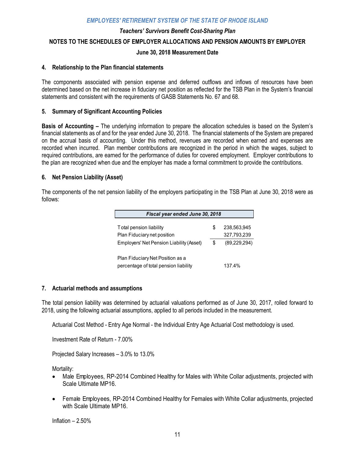#### *Teachers' Survivors Benefit Cost-Sharing Plan*

#### **NOTES TO THE SCHEDULES OF EMPLOYER ALLOCATIONS AND PENSION AMOUNTS BY EMPLOYER**

#### **June 30, 2018 Measurement Date**

#### **4. Relationship to the Plan financial statements**

The components associated with pension expense and deferred outflows and inflows of resources have been determined based on the net increase in fiduciary net position as reflected for the TSB Plan in the System's financial statements and consistent with the requirements of GASB Statements No. 67 and 68.

#### **5. Summary of Significant Accounting Policies**

**Basis of Accounting –** The underlying information to prepare the allocation schedules is based on the System's financial statements as of and for the year ended June 30, 2018. The financial statements of the System are prepared on the accrual basis of accounting. Under this method, revenues are recorded when earned and expenses are recorded when incurred. Plan member contributions are recognized in the period in which the wages, subject to required contributions, are earned for the performance of duties for covered employment. Employer contributions to the plan are recognized when due and the employer has made a formal commitment to provide the contributions.

#### **6. Net Pension Liability (Asset)**

The components of the net pension liability of the employers participating in the TSB Plan at June 30, 2018 were as follows:

| Fiscal year ended June 30, 2018                                           |    |                            |  |  |  |  |  |  |
|---------------------------------------------------------------------------|----|----------------------------|--|--|--|--|--|--|
| Total pension liability<br>Plan Fiduciary net position                    | S  | 238.563.945<br>327,793,239 |  |  |  |  |  |  |
| Employers' Net Pension Liability (Asset)                                  | \$ | (89, 229, 294)             |  |  |  |  |  |  |
| Plan Fiduciary Net Position as a<br>percentage of total pension liability |    | 137.4%                     |  |  |  |  |  |  |

#### **7. Actuarial methods and assumptions**

The total pension liability was determined by actuarial valuations performed as of June 30, 2017, rolled forward to 2018, using the following actuarial assumptions, applied to all periods included in the measurement.

Actuarial Cost Method - Entry Age Normal - the Individual Entry Age Actuarial Cost methodology is used.

Investment Rate of Return - 7.00%

Projected Salary Increases – 3.0% to 13.0%

Mortality:

- Male Employees, RP-2014 Combined Healthy for Males with White Collar adjustments, projected with Scale Ultimate MP16.
- Female Employees, RP-2014 Combined Healthy for Females with White Collar adjustments, projected with Scale Ultimate MP16.

Inflation – 2.50%